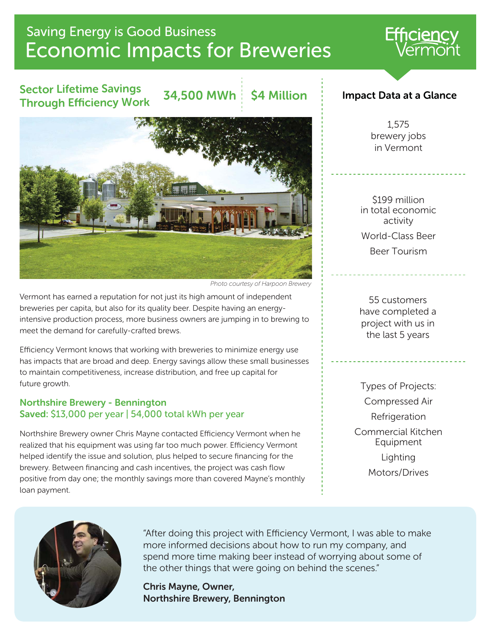# Economic Impacts for Breweries Saving Energy is Good Business

## Sector Lifetime Savings Through Efficiency Work

34,500 MWh | \$4 Million



*Photo courtesy of Harpoon Brewery*

Vermont has earned a reputation for not just its high amount of independent breweries per capita, but also for its quality beer. Despite having an energyintensive production process, more business owners are jumping in to brewing to meet the demand for carefully-crafted brews.

Efficiency Vermont knows that working with breweries to minimize energy use has impacts that are broad and deep. Energy savings allow these small businesses to maintain competitiveness, increase distribution, and free up capital for future growth.

#### Northshire Brewery - Bennington Saved: \$13,000 per year | 54,000 total kWh per year

Northshire Brewery owner Chris Mayne contacted Efficiency Vermont when he realized that his equipment was using far too much power. Efficiency Vermont helped identify the issue and solution, plus helped to secure financing for the brewery. Between financing and cash incentives, the project was cash flow positive from day one; the monthly savings more than covered Mayne's monthly loan payment.

#### Impact Data at a Glance

1,575 brewery jobs in Vermont

\$199 million in total economic activity World-Class Beer Beer Tourism

55 customers have completed a project with us in the last 5 years

Types of Projects: Compressed Air Refrigeration Commercial Kitchen Equipment Lighting Motors/Drives



"After doing this project with Efficiency Vermont, I was able to make more informed decisions about how to run my company, and spend more time making beer instead of worrying about some of the other things that were going on behind the scenes."

Chris Mayne, Owner, Northshire Brewery, Bennington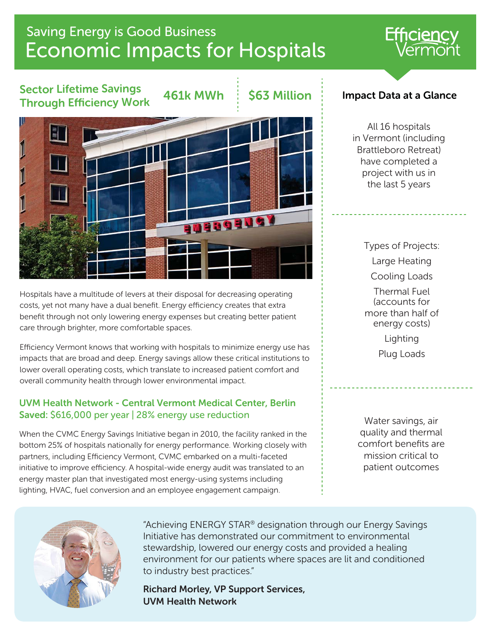# Economic Impacts for Hospitals Saving Energy is Good Business

## Sector Lifetime Savings Through Efficiency Work

 $461k$  MWh  $\pm$  S63 Million



Hospitals have a multitude of levers at their disposal for decreasing operating costs, yet not many have a dual benefit. Energy efficiency creates that extra benefit through not only lowering energy expenses but creating better patient care through brighter, more comfortable spaces.

Efficiency Vermont knows that working with hospitals to minimize energy use has impacts that are broad and deep. Energy savings allow these critical institutions to lower overall operating costs, which translate to increased patient comfort and overall community health through lower environmental impact.

#### UVM Health Network - Central Vermont Medical Center, Berlin Saved: \$616,000 per year | 28% energy use reduction

When the CVMC Energy Savings Initiative began in 2010, the facility ranked in the bottom 25% of hospitals nationally for energy performance. Working closely with partners, including Efficiency Vermont, CVMC embarked on a multi-faceted initiative to improve efficiency. A hospital-wide energy audit was translated to an energy master plan that investigated most energy-using systems including lighting, HVAC, fuel conversion and an employee engagement campaign.

### Impact Data at a Glance

All 16 hospitals in Vermont (including Brattleboro Retreat) have completed a project with us in the last 5 years

> Types of Projects: Large Heating Cooling Loads Thermal Fuel (accounts for more than half of energy costs) Lighting Plug Loads

Water savings, air quality and thermal comfort benefits are mission critical to patient outcomes



"Achieving ENERGY STAR® designation through our Energy Savings Initiative has demonstrated our commitment to environmental stewardship, lowered our energy costs and provided a healing environment for our patients where spaces are lit and conditioned to industry best practices."

Richard Morley, VP Support Services, UVM Health Network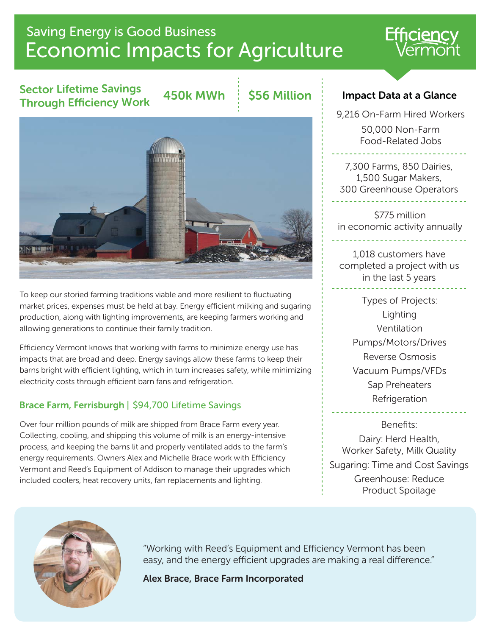# Economic Impacts for Agriculture Saving Energy is Good Business

## Sector Lifetime Savings Through Efficiency Work

450k MWh : \$56 Million



9,216 On-Farm Hired Workers 50,000 Non-Farm Food-Related Jobs

7,300 Farms, 850 Dairies, 1,500 Sugar Makers, 300 Greenhouse Operators

\$775 million in economic activity annually

1,018 customers have completed a project with us in the last 5 years

> Types of Projects: Lighting Ventilation Pumps/Motors/Drives Reverse Osmosis Vacuum Pumps/VFDs Sap Preheaters Refrigeration

Benefits: Dairy: Herd Health, Worker Safety, Milk Quality Sugaring: Time and Cost Savings Greenhouse: Reduce Product Spoilage



"Working with Reed's Equipment and Efficiency Vermont has been easy, and the energy efficient upgrades are making a real difference."

Alex Brace, Brace Farm Incorporated



To keep our storied farming traditions viable and more resilient to fluctuating market prices, expenses must be held at bay. Energy efficient milking and sugaring production, along with lighting improvements, are keeping farmers working and allowing generations to continue their family tradition.

Efficiency Vermont knows that working with farms to minimize energy use has impacts that are broad and deep. Energy savings allow these farms to keep their barns bright with efficient lighting, which in turn increases safety, while minimizing electricity costs through efficient barn fans and refrigeration.

## Brace Farm, Ferrisburgh | \$94,700 Lifetime Savings

Over four million pounds of milk are shipped from Brace Farm every year. Collecting, cooling, and shipping this volume of milk is an energy-intensive process, and keeping the barns lit and properly ventilated adds to the farm's energy requirements. Owners Alex and Michelle Brace work with Efficiency Vermont and Reed's Equipment of Addison to manage their upgrades which included coolers, heat recovery units, fan replacements and lighting.